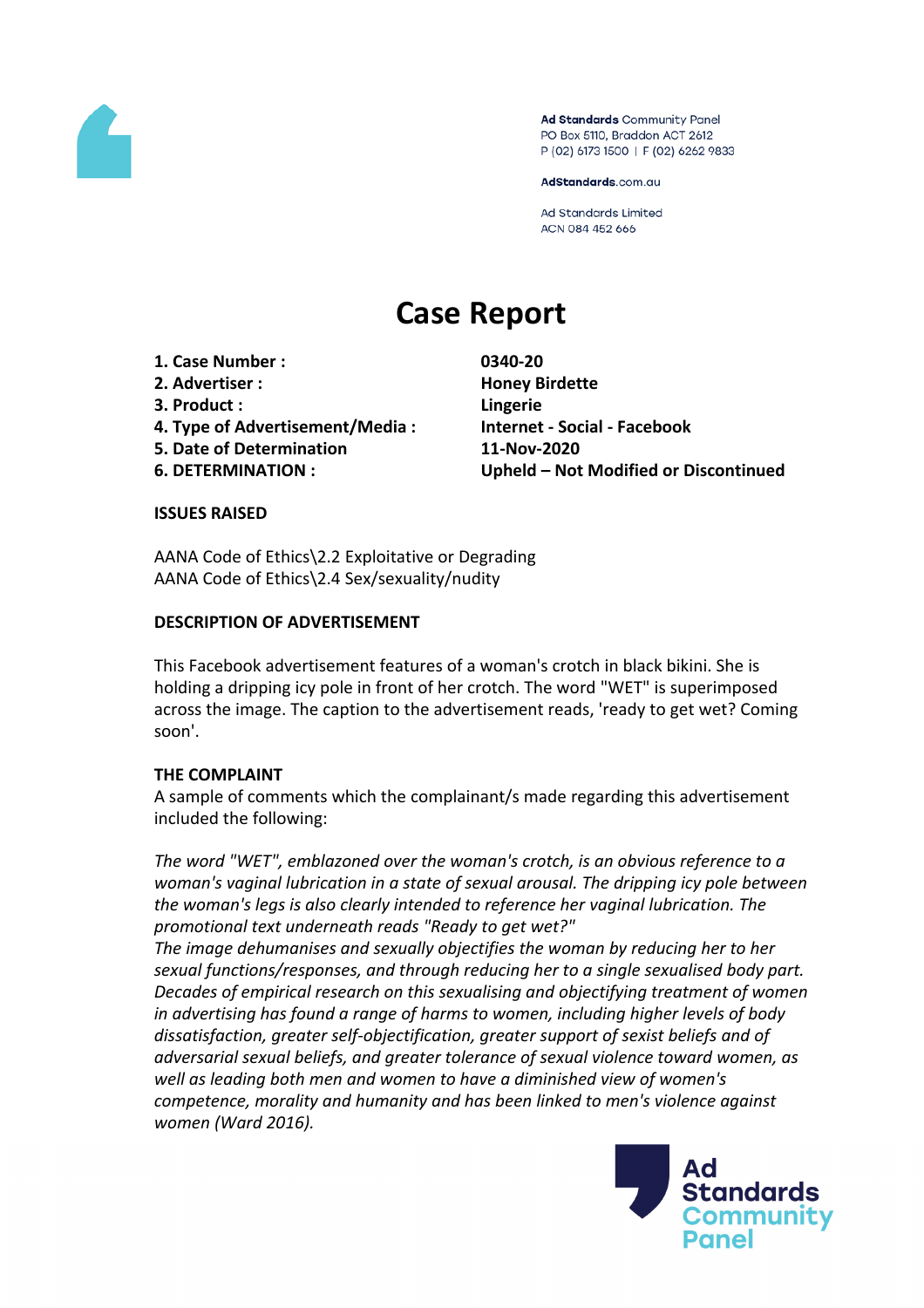

Ad Standards Community Panel PO Box 5110, Braddon ACT 2612 P (02) 6173 1500 | F (02) 6262 9833

AdStandards.com.au

**Ad Standards Limited** ACN 084 452 666

# **Case Report**

- **1. Case Number : 0340-20**
- **2. Advertiser : Honey Birdette**
- **3. Product : Lingerie**
- **4. Type of Advertisement/Media : Internet - Social - Facebook**
- **5. Date of Determination 11-Nov-2020**
- 

**6. DETERMINATION : Upheld – Not Modified or Discontinued**

#### **ISSUES RAISED**

AANA Code of Ethics\2.2 Exploitative or Degrading AANA Code of Ethics\2.4 Sex/sexuality/nudity

## **DESCRIPTION OF ADVERTISEMENT**

This Facebook advertisement features of a woman's crotch in black bikini. She is holding a dripping icy pole in front of her crotch. The word "WET" is superimposed across the image. The caption to the advertisement reads, 'ready to get wet? Coming soon'.

# **THE COMPLAINT**

A sample of comments which the complainant/s made regarding this advertisement included the following:

*The word "WET", emblazoned over the woman's crotch, is an obvious reference to a woman's vaginal lubrication in a state of sexual arousal. The dripping icy pole between the woman's legs is also clearly intended to reference her vaginal lubrication. The promotional text underneath reads "Ready to get wet?"*

*The image dehumanises and sexually objectifies the woman by reducing her to her sexual functions/responses, and through reducing her to a single sexualised body part. Decades of empirical research on this sexualising and objectifying treatment of women in advertising has found a range of harms to women, including higher levels of body dissatisfaction, greater self-objectification, greater support of sexist beliefs and of adversarial sexual beliefs, and greater tolerance of sexual violence toward women, as well as leading both men and women to have a diminished view of women's competence, morality and humanity and has been linked to men's violence against women (Ward 2016).*

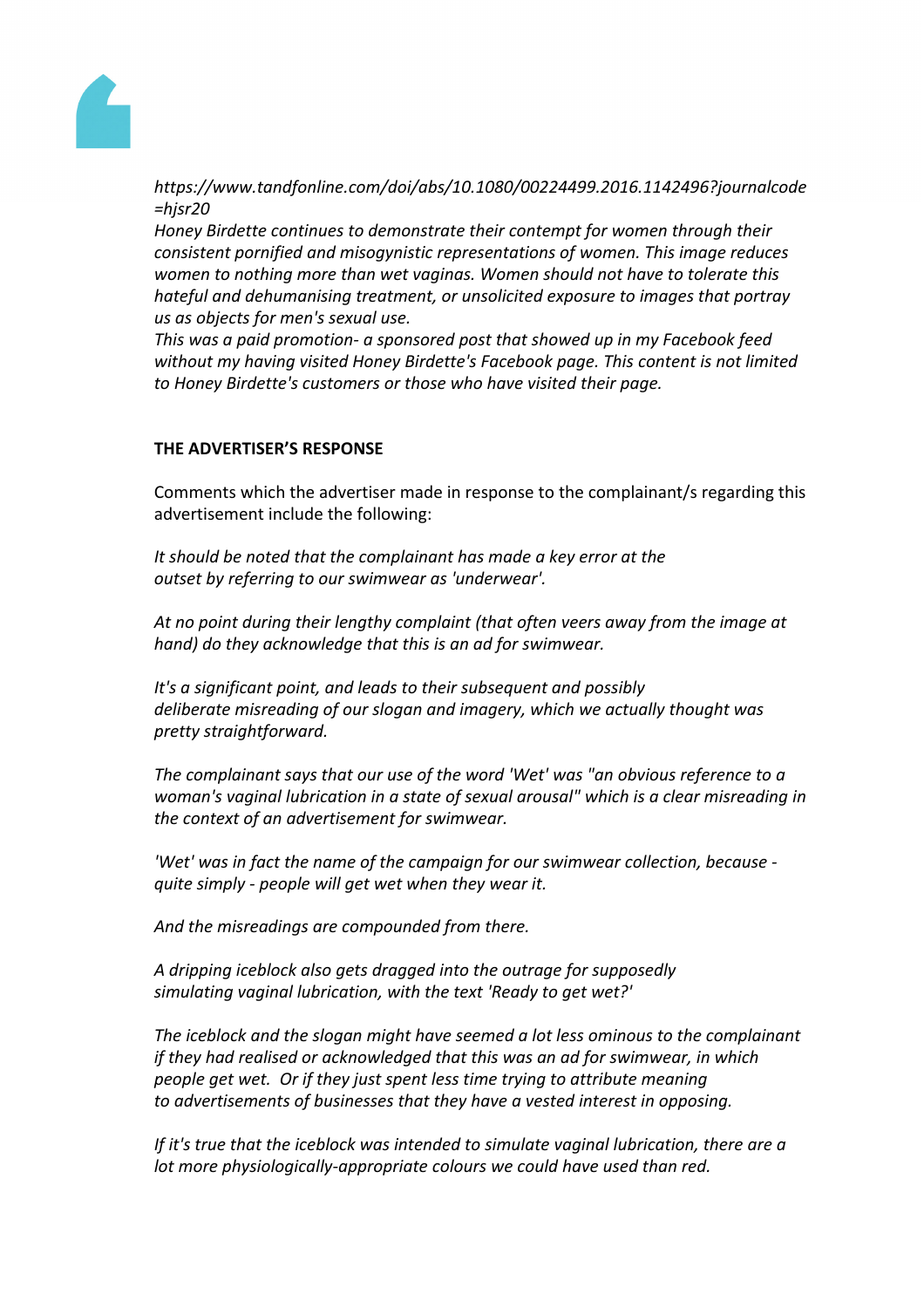

*https://www.tandfonline.com/doi/abs/10.1080/00224499.2016.1142496?journalcode =hjsr20*

*Honey Birdette continues to demonstrate their contempt for women through their consistent pornified and misogynistic representations of women. This image reduces women to nothing more than wet vaginas. Women should not have to tolerate this hateful and dehumanising treatment, or unsolicited exposure to images that portray us as objects for men's sexual use.*

*This was a paid promotion- a sponsored post that showed up in my Facebook feed without my having visited Honey Birdette's Facebook page. This content is not limited to Honey Birdette's customers or those who have visited their page.*

## **THE ADVERTISER'S RESPONSE**

Comments which the advertiser made in response to the complainant/s regarding this advertisement include the following:

*It should be noted that the complainant has made a key error at the outset by referring to our swimwear as 'underwear'.*

*At no point during their lengthy complaint (that often veers away from the image at hand) do they acknowledge that this is an ad for swimwear.*

*It's a significant point, and leads to their subsequent and possibly deliberate misreading of our slogan and imagery, which we actually thought was pretty straightforward.*

*The complainant says that our use of the word 'Wet' was "an obvious reference to a woman's vaginal lubrication in a state of sexual arousal" which is a clear misreading in the context of an advertisement for swimwear.*

*'Wet' was in fact the name of the campaign for our swimwear collection, because quite simply - people will get wet when they wear it.*

*And the misreadings are compounded from there.*

*A dripping iceblock also gets dragged into the outrage for supposedly simulating vaginal lubrication, with the text 'Ready to get wet?'*

*The iceblock and the slogan might have seemed a lot less ominous to the complainant if they had realised or acknowledged that this was an ad for swimwear, in which people get wet. Or if they just spent less time trying to attribute meaning to advertisements of businesses that they have a vested interest in opposing.*

*If it's true that the iceblock was intended to simulate vaginal lubrication, there are a lot more physiologically-appropriate colours we could have used than red.*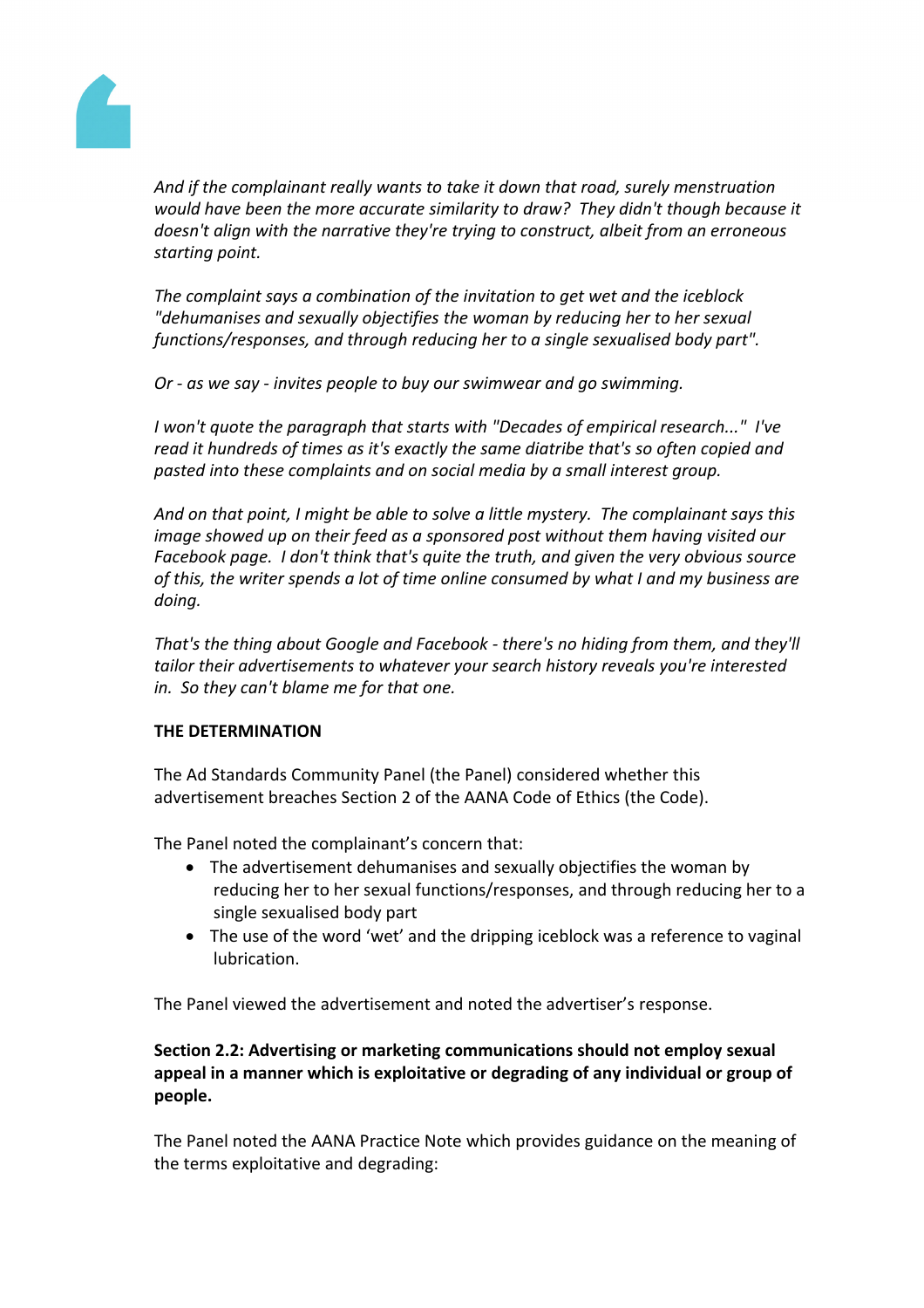

*And if the complainant really wants to take it down that road, surely menstruation would have been the more accurate similarity to draw? They didn't though because it doesn't align with the narrative they're trying to construct, albeit from an erroneous starting point.*

*The complaint says a combination of the invitation to get wet and the iceblock "dehumanises and sexually objectifies the woman by reducing her to her sexual functions/responses, and through reducing her to a single sexualised body part".*

*Or - as we say - invites people to buy our swimwear and go swimming.*

*I won't quote the paragraph that starts with "Decades of empirical research..." I've read it hundreds of times as it's exactly the same diatribe that's so often copied and pasted into these complaints and on social media by a small interest group.*

*And on that point, I might be able to solve a little mystery. The complainant says this image showed up on their feed as a sponsored post without them having visited our Facebook page. I don't think that's quite the truth, and given the very obvious source of this, the writer spends a lot of time online consumed by what I and my business are doing.*

*That's the thing about Google and Facebook - there's no hiding from them, and they'll tailor their advertisements to whatever your search history reveals you're interested in. So they can't blame me for that one.*

#### **THE DETERMINATION**

The Ad Standards Community Panel (the Panel) considered whether this advertisement breaches Section 2 of the AANA Code of Ethics (the Code).

The Panel noted the complainant's concern that:

- The advertisement dehumanises and sexually objectifies the woman by reducing her to her sexual functions/responses, and through reducing her to a single sexualised body part
- The use of the word 'wet' and the dripping iceblock was a reference to vaginal lubrication.

The Panel viewed the advertisement and noted the advertiser's response.

# **Section 2.2: Advertising or marketing communications should not employ sexual appeal in a manner which is exploitative or degrading of any individual or group of people.**

The Panel noted the AANA Practice Note which provides guidance on the meaning of the terms exploitative and degrading: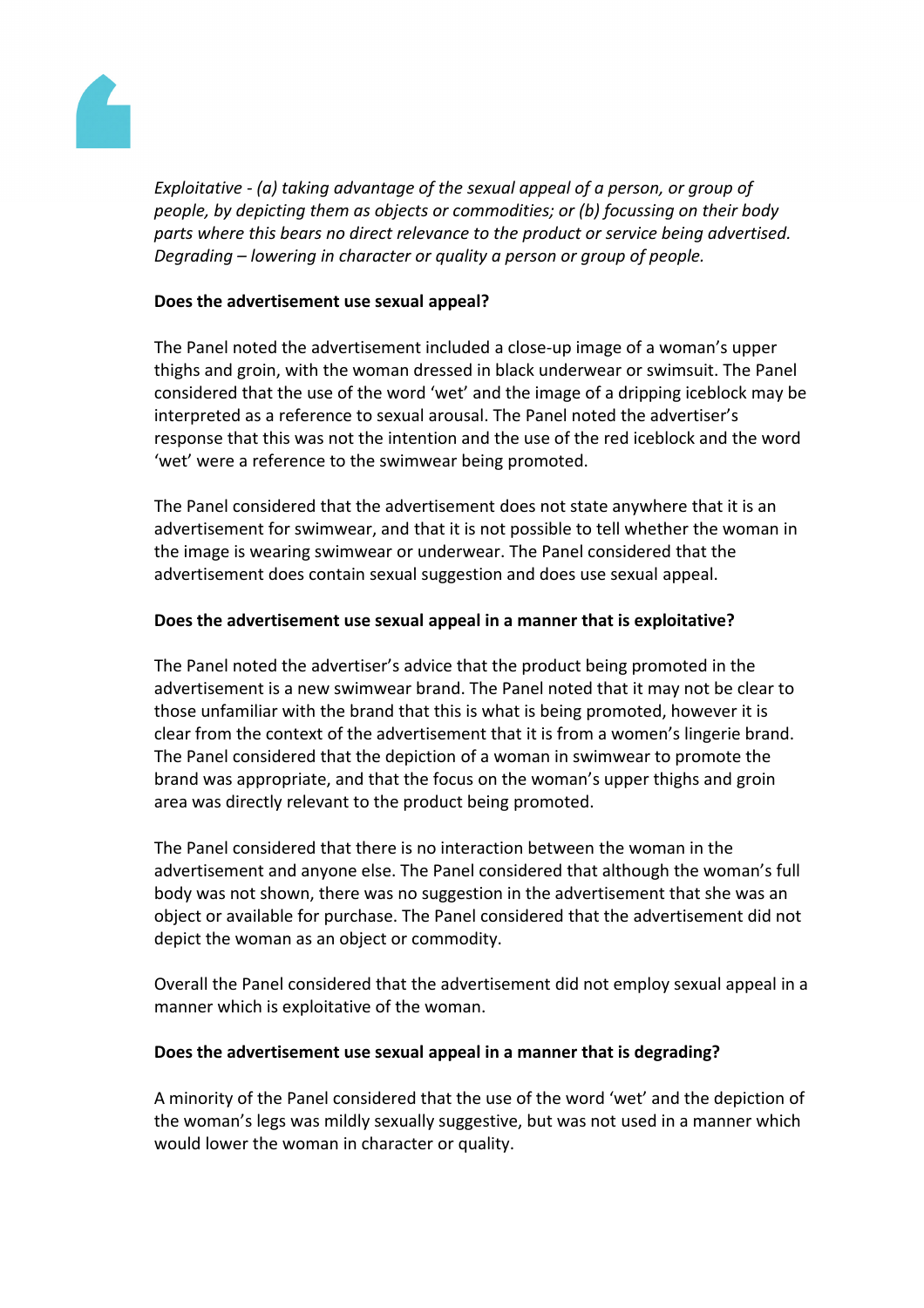

*Exploitative - (a) taking advantage of the sexual appeal of a person, or group of people, by depicting them as objects or commodities; or (b) focussing on their body parts where this bears no direct relevance to the product or service being advertised. Degrading – lowering in character or quality a person or group of people.*

## **Does the advertisement use sexual appeal?**

The Panel noted the advertisement included a close-up image of a woman's upper thighs and groin, with the woman dressed in black underwear or swimsuit. The Panel considered that the use of the word 'wet' and the image of a dripping iceblock may be interpreted as a reference to sexual arousal. The Panel noted the advertiser's response that this was not the intention and the use of the red iceblock and the word 'wet' were a reference to the swimwear being promoted.

The Panel considered that the advertisement does not state anywhere that it is an advertisement for swimwear, and that it is not possible to tell whether the woman in the image is wearing swimwear or underwear. The Panel considered that the advertisement does contain sexual suggestion and does use sexual appeal.

## **Does the advertisement use sexual appeal in a manner that is exploitative?**

The Panel noted the advertiser's advice that the product being promoted in the advertisement is a new swimwear brand. The Panel noted that it may not be clear to those unfamiliar with the brand that this is what is being promoted, however it is clear from the context of the advertisement that it is from a women's lingerie brand. The Panel considered that the depiction of a woman in swimwear to promote the brand was appropriate, and that the focus on the woman's upper thighs and groin area was directly relevant to the product being promoted.

The Panel considered that there is no interaction between the woman in the advertisement and anyone else. The Panel considered that although the woman's full body was not shown, there was no suggestion in the advertisement that she was an object or available for purchase. The Panel considered that the advertisement did not depict the woman as an object or commodity.

Overall the Panel considered that the advertisement did not employ sexual appeal in a manner which is exploitative of the woman.

#### **Does the advertisement use sexual appeal in a manner that is degrading?**

A minority of the Panel considered that the use of the word 'wet' and the depiction of the woman's legs was mildly sexually suggestive, but was not used in a manner which would lower the woman in character or quality.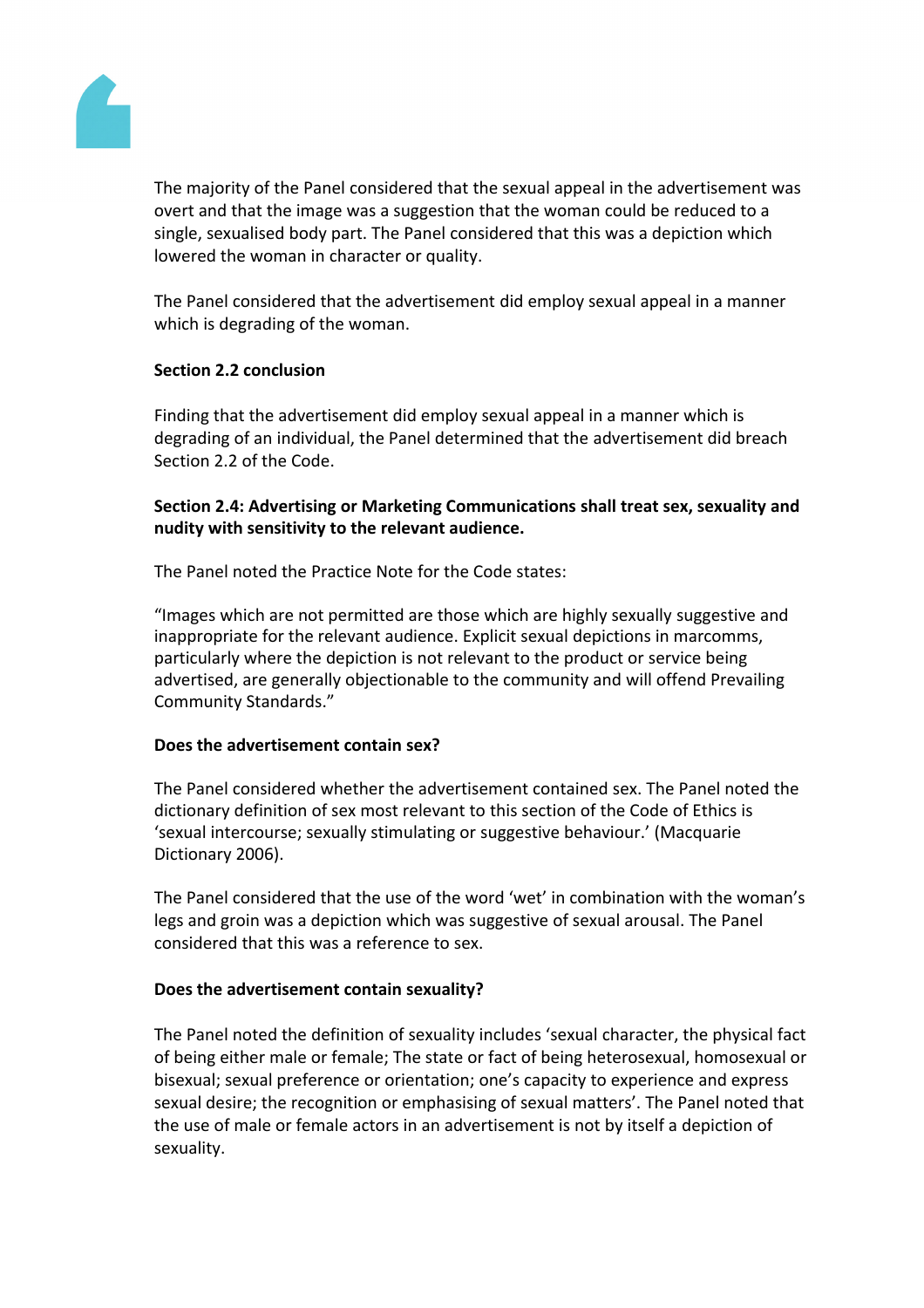

The majority of the Panel considered that the sexual appeal in the advertisement was overt and that the image was a suggestion that the woman could be reduced to a single, sexualised body part. The Panel considered that this was a depiction which lowered the woman in character or quality.

The Panel considered that the advertisement did employ sexual appeal in a manner which is degrading of the woman.

## **Section 2.2 conclusion**

Finding that the advertisement did employ sexual appeal in a manner which is degrading of an individual, the Panel determined that the advertisement did breach Section 2.2 of the Code.

## **Section 2.4: Advertising or Marketing Communications shall treat sex, sexuality and nudity with sensitivity to the relevant audience.**

The Panel noted the Practice Note for the Code states:

"Images which are not permitted are those which are highly sexually suggestive and inappropriate for the relevant audience. Explicit sexual depictions in marcomms, particularly where the depiction is not relevant to the product or service being advertised, are generally objectionable to the community and will offend Prevailing Community Standards."

#### **Does the advertisement contain sex?**

The Panel considered whether the advertisement contained sex. The Panel noted the dictionary definition of sex most relevant to this section of the Code of Ethics is 'sexual intercourse; sexually stimulating or suggestive behaviour.' (Macquarie Dictionary 2006).

The Panel considered that the use of the word 'wet' in combination with the woman's legs and groin was a depiction which was suggestive of sexual arousal. The Panel considered that this was a reference to sex.

#### **Does the advertisement contain sexuality?**

The Panel noted the definition of sexuality includes 'sexual character, the physical fact of being either male or female; The state or fact of being heterosexual, homosexual or bisexual; sexual preference or orientation; one's capacity to experience and express sexual desire; the recognition or emphasising of sexual matters'. The Panel noted that the use of male or female actors in an advertisement is not by itself a depiction of sexuality.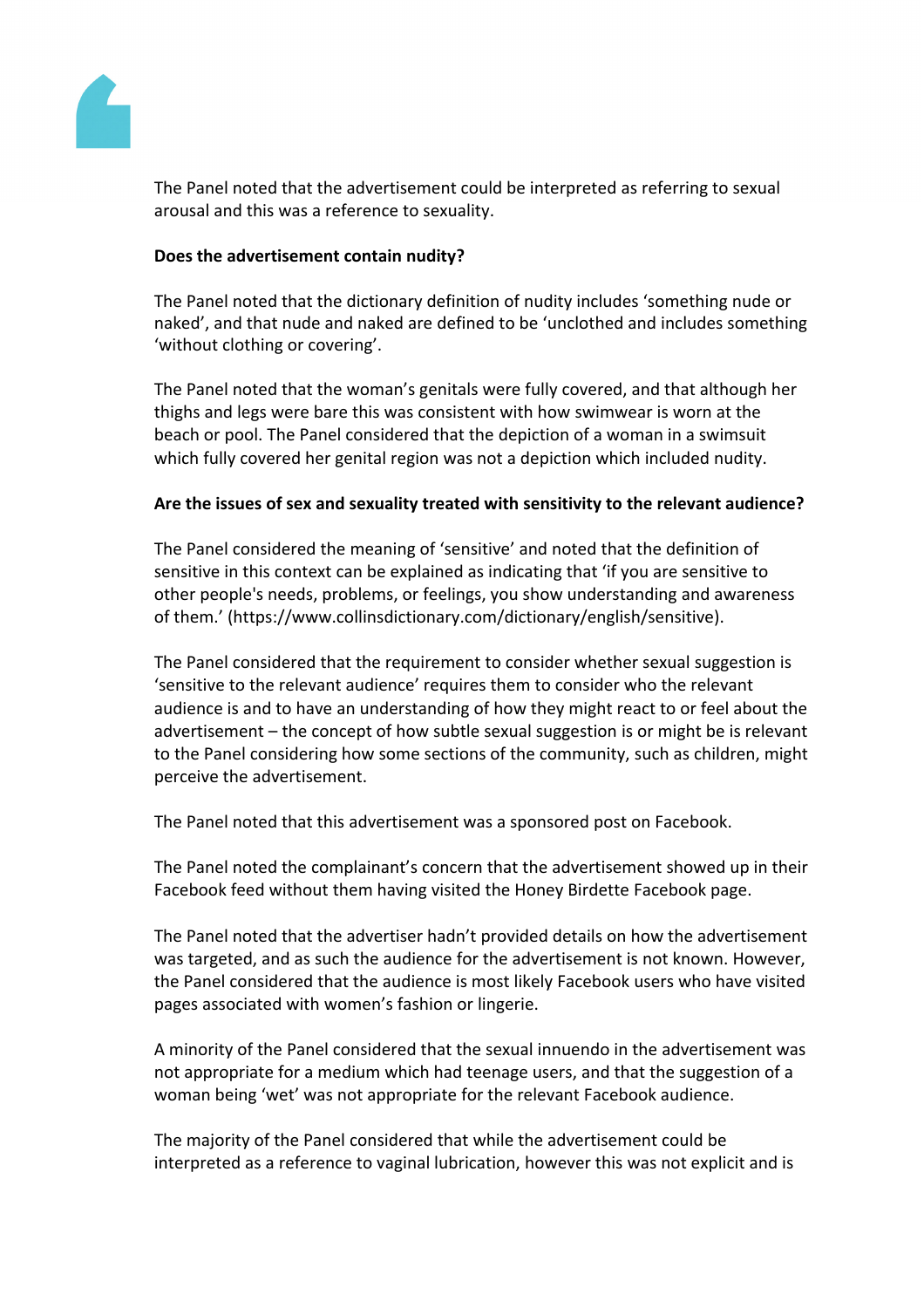

The Panel noted that the advertisement could be interpreted as referring to sexual arousal and this was a reference to sexuality.

## **Does the advertisement contain nudity?**

The Panel noted that the dictionary definition of nudity includes 'something nude or naked', and that nude and naked are defined to be 'unclothed and includes something 'without clothing or covering'.

The Panel noted that the woman's genitals were fully covered, and that although her thighs and legs were bare this was consistent with how swimwear is worn at the beach or pool. The Panel considered that the depiction of a woman in a swimsuit which fully covered her genital region was not a depiction which included nudity.

## **Are the issues of sex and sexuality treated with sensitivity to the relevant audience?**

The Panel considered the meaning of 'sensitive' and noted that the definition of sensitive in this context can be explained as indicating that 'if you are sensitive to other people's needs, problems, or feelings, you show understanding and awareness of them.' (https://www.collinsdictionary.com/dictionary/english/sensitive).

The Panel considered that the requirement to consider whether sexual suggestion is 'sensitive to the relevant audience' requires them to consider who the relevant audience is and to have an understanding of how they might react to or feel about the advertisement – the concept of how subtle sexual suggestion is or might be is relevant to the Panel considering how some sections of the community, such as children, might perceive the advertisement.

The Panel noted that this advertisement was a sponsored post on Facebook.

The Panel noted the complainant's concern that the advertisement showed up in their Facebook feed without them having visited the Honey Birdette Facebook page.

The Panel noted that the advertiser hadn't provided details on how the advertisement was targeted, and as such the audience for the advertisement is not known. However, the Panel considered that the audience is most likely Facebook users who have visited pages associated with women's fashion or lingerie.

A minority of the Panel considered that the sexual innuendo in the advertisement was not appropriate for a medium which had teenage users, and that the suggestion of a woman being 'wet' was not appropriate for the relevant Facebook audience.

The majority of the Panel considered that while the advertisement could be interpreted as a reference to vaginal lubrication, however this was not explicit and is